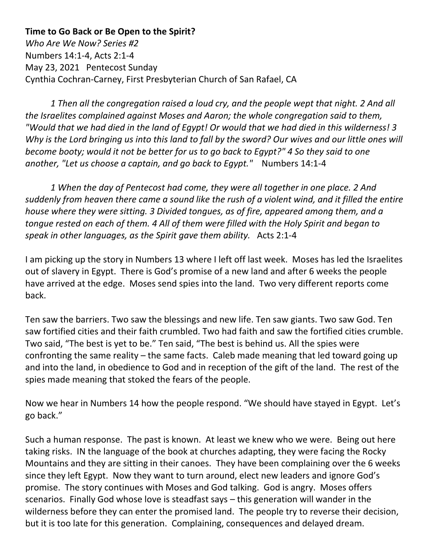**Time to Go Back or Be Open to the Spirit?** *Who Are We Now? Series #2* Numbers 14:1-4, Acts 2:1-4 May 23, 2021 Pentecost Sunday Cynthia Cochran-Carney, First Presbyterian Church of San Rafael, CA

*1 Then all the congregation raised a loud cry, and the people wept that night. 2 And all the Israelites complained against Moses and Aaron; the whole congregation said to them, "Would that we had died in the land of Egypt! Or would that we had died in this wilderness! 3 Why is the Lord bringing us into this land to fall by the sword? Our wives and our little ones will become booty; would it not be better for us to go back to Egypt?" 4 So they said to one another, "Let us choose a captain, and go back to Egypt."* Numbers 14:1-4

*1 When the day of Pentecost had come, they were all together in one place. 2 And suddenly from heaven there came a sound like the rush of a violent wind, and it filled the entire house where they were sitting. 3 Divided tongues, as of fire, appeared among them, and a tongue rested on each of them. 4 All of them were filled with the Holy Spirit and began to speak in other languages, as the Spirit gave them ability.* Acts 2:1-4

I am picking up the story in Numbers 13 where I left off last week. Moses has led the Israelites out of slavery in Egypt. There is God's promise of a new land and after 6 weeks the people have arrived at the edge. Moses send spies into the land. Two very different reports come back.

Ten saw the barriers. Two saw the blessings and new life. Ten saw giants. Two saw God. Ten saw fortified cities and their faith crumbled. Two had faith and saw the fortified cities crumble. Two said, "The best is yet to be." Ten said, "The best is behind us. All the spies were confronting the same reality – the same facts. Caleb made meaning that led toward going up and into the land, in obedience to God and in reception of the gift of the land. The rest of the spies made meaning that stoked the fears of the people.

Now we hear in Numbers 14 how the people respond. "We should have stayed in Egypt. Let's go back."

Such a human response. The past is known. At least we knew who we were. Being out here taking risks. IN the language of the book at churches adapting, they were facing the Rocky Mountains and they are sitting in their canoes. They have been complaining over the 6 weeks since they left Egypt. Now they want to turn around, elect new leaders and ignore God's promise. The story continues with Moses and God talking. God is angry. Moses offers scenarios. Finally God whose love is steadfast says – this generation will wander in the wilderness before they can enter the promised land. The people try to reverse their decision, but it is too late for this generation. Complaining, consequences and delayed dream.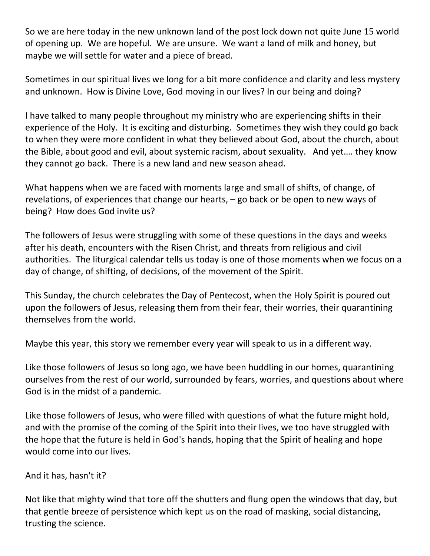So we are here today in the new unknown land of the post lock down not quite June 15 world of opening up. We are hopeful. We are unsure. We want a land of milk and honey, but maybe we will settle for water and a piece of bread.

Sometimes in our spiritual lives we long for a bit more confidence and clarity and less mystery and unknown. How is Divine Love, God moving in our lives? In our being and doing?

I have talked to many people throughout my ministry who are experiencing shifts in their experience of the Holy. It is exciting and disturbing. Sometimes they wish they could go back to when they were more confident in what they believed about God, about the church, about the Bible, about good and evil, about systemic racism, about sexuality. And yet…. they know they cannot go back. There is a new land and new season ahead.

What happens when we are faced with moments large and small of shifts, of change, of revelations, of experiences that change our hearts, – go back or be open to new ways of being? How does God invite us?

The followers of Jesus were struggling with some of these questions in the days and weeks after his death, encounters with the Risen Christ, and threats from religious and civil authorities. The liturgical calendar tells us today is one of those moments when we focus on a day of change, of shifting, of decisions, of the movement of the Spirit.

This Sunday, the church celebrates the Day of Pentecost, when the Holy Spirit is poured out upon the followers of Jesus, releasing them from their fear, their worries, their quarantining themselves from the world.

Maybe this year, this story we remember every year will speak to us in a different way.

Like those followers of Jesus so long ago, we have been huddling in our homes, quarantining ourselves from the rest of our world, surrounded by fears, worries, and questions about where God is in the midst of a pandemic.

Like those followers of Jesus, who were filled with questions of what the future might hold, and with the promise of the coming of the Spirit into their lives, we too have struggled with the hope that the future is held in God's hands, hoping that the Spirit of healing and hope would come into our lives.

And it has, hasn't it?

Not like that mighty wind that tore off the shutters and flung open the windows that day, but that gentle breeze of persistence which kept us on the road of masking, social distancing, trusting the science.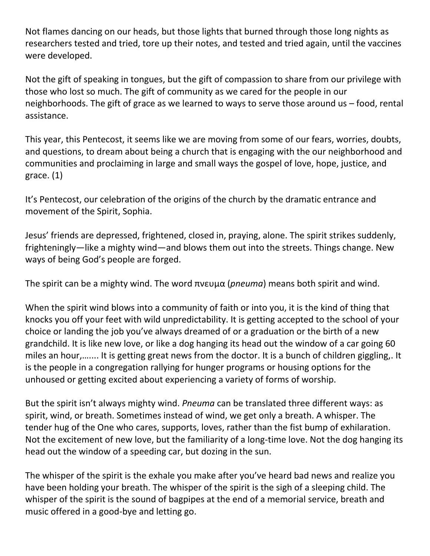Not flames dancing on our heads, but those lights that burned through those long nights as researchers tested and tried, tore up their notes, and tested and tried again, until the vaccines were developed.

Not the gift of speaking in tongues, but the gift of compassion to share from our privilege with those who lost so much. The gift of community as we cared for the people in our neighborhoods. The gift of grace as we learned to ways to serve those around us – food, rental assistance.

This year, this Pentecost, it seems like we are moving from some of our fears, worries, doubts, and questions, to dream about being a church that is engaging with the our neighborhood and communities and proclaiming in large and small ways the gospel of love, hope, justice, and grace. (1)

It's Pentecost, our celebration of the origins of the church by the dramatic entrance and movement of the Spirit, Sophia.

Jesus' friends are depressed, frightened, closed in, praying, alone. The spirit strikes suddenly, frighteningly—like a mighty wind—and blows them out into the streets. Things change. New ways of being God's people are forged.

The spirit can be a mighty wind. The word πνευμα (*pneuma*) means both spirit and wind.

When the spirit wind blows into a community of faith or into you, it is the kind of thing that knocks you off your feet with wild unpredictability. It is getting accepted to the school of your choice or landing the job you've always dreamed of or a graduation or the birth of a new grandchild. It is like new love, or like a dog hanging its head out the window of a car going 60 miles an hour,….... It is getting great news from the doctor. It is a bunch of children giggling,. It is the people in a congregation rallying for hunger programs or housing options for the unhoused or getting excited about experiencing a variety of forms of worship.

But the spirit isn't always mighty wind. *Pneuma* can be translated three different ways: as spirit, wind, or breath. Sometimes instead of wind, we get only a breath. A whisper. The tender hug of the One who cares, supports, loves, rather than the fist bump of exhilaration. Not the excitement of new love, but the familiarity of a long-time love. Not the dog hanging its head out the window of a speeding car, but dozing in the sun.

The whisper of the spirit is the exhale you make after you've heard bad news and realize you have been holding your breath. The whisper of the spirit is the sigh of a sleeping child. The whisper of the spirit is the sound of bagpipes at the end of a memorial service, breath and music offered in a good-bye and letting go.